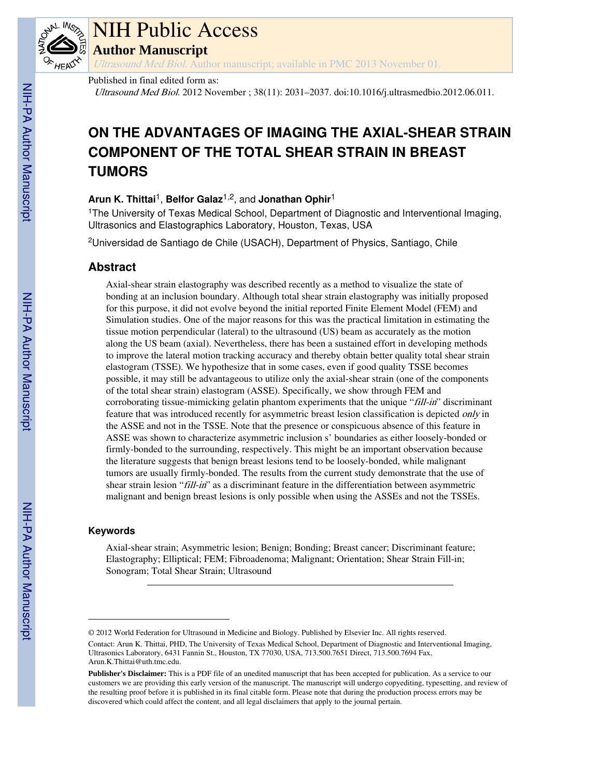

# NIH Public Access

**Author Manuscript**

Ultrasound Med Biol. Author manuscript; available in PMC 2013 November 01.

#### Published in final edited form as:

Ultrasound Med Biol. 2012 November ; 38(11): 2031–2037. doi:10.1016/j.ultrasmedbio.2012.06.011.

## **ON THE ADVANTAGES OF IMAGING THE AXIAL-SHEAR STRAIN COMPONENT OF THE TOTAL SHEAR STRAIN IN BREAST TUMORS**

## **Arun K. Thittai**1, **Belfor Galaz**1,2, and **Jonathan Ophir**<sup>1</sup>

<sup>1</sup>The University of Texas Medical School, Department of Diagnostic and Interventional Imaging, Ultrasonics and Elastographics Laboratory, Houston, Texas, USA

<sup>2</sup>Universidad de Santiago de Chile (USACH), Department of Physics, Santiago, Chile

## **Abstract**

Axial-shear strain elastography was described recently as a method to visualize the state of bonding at an inclusion boundary. Although total shear strain elastography was initially proposed for this purpose, it did not evolve beyond the initial reported Finite Element Model (FEM) and Simulation studies. One of the major reasons for this was the practical limitation in estimating the tissue motion perpendicular (lateral) to the ultrasound (US) beam as accurately as the motion along the US beam (axial). Nevertheless, there has been a sustained effort in developing methods to improve the lateral motion tracking accuracy and thereby obtain better quality total shear strain elastogram (TSSE). We hypothesize that in some cases, even if good quality TSSE becomes possible, it may still be advantageous to utilize only the axial-shear strain (one of the components of the total shear strain) elastogram (ASSE). Specifically, we show through FEM and corroborating tissue-mimicking gelatin phantom experiments that the unique "fill-in" discriminant feature that was introduced recently for asymmetric breast lesion classification is depicted only in the ASSE and not in the TSSE. Note that the presence or conspicuous absence of this feature in ASSE was shown to characterize asymmetric inclusion s' boundaries as either loosely-bonded or firmly-bonded to the surrounding, respectively. This might be an important observation because the literature suggests that benign breast lesions tend to be loosely-bonded, while malignant tumors are usually firmly-bonded. The results from the current study demonstrate that the use of shear strain lesion "fill-in" as a discriminant feature in the differentiation between asymmetric malignant and benign breast lesions is only possible when using the ASSEs and not the TSSEs.

## **Keywords**

Axial-shear strain; Asymmetric lesion; Benign; Bonding; Breast cancer; Discriminant feature; Elastography; Elliptical; FEM; Fibroadenoma; Malignant; Orientation; Shear Strain Fill-in; Sonogram; Total Shear Strain; Ultrasound

<sup>© 2012</sup> World Federation for Ultrasound in Medicine and Biology. Published by Elsevier Inc. All rights reserved.

Contact: Arun K. Thittai, PHD, The University of Texas Medical School, Department of Diagnostic and Interventional Imaging, Ultrasonics Laboratory, 6431 Fannin St., Houston, TX 77030, USA, 713.500.7651 Direct, 713.500.7694 Fax, Arun.K.Thittai@uth.tmc.edu.

**Publisher's Disclaimer:** This is a PDF file of an unedited manuscript that has been accepted for publication. As a service to our customers we are providing this early version of the manuscript. The manuscript will undergo copyediting, typesetting, and review of the resulting proof before it is published in its final citable form. Please note that during the production process errors may be discovered which could affect the content, and all legal disclaimers that apply to the journal pertain.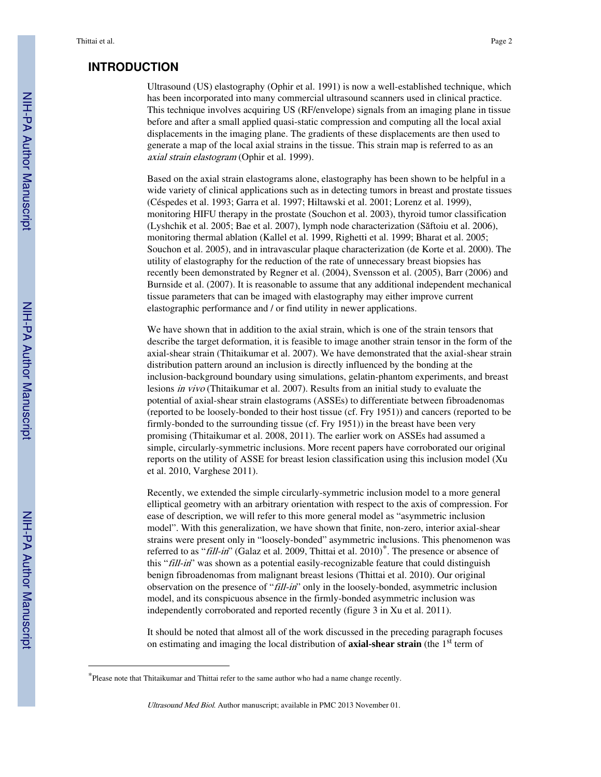## **INTRODUCTION**

Ultrasound (US) elastography (Ophir et al. 1991) is now a well-established technique, which has been incorporated into many commercial ultrasound scanners used in clinical practice. This technique involves acquiring US (RF/envelope) signals from an imaging plane in tissue before and after a small applied quasi-static compression and computing all the local axial displacements in the imaging plane. The gradients of these displacements are then used to generate a map of the local axial strains in the tissue. This strain map is referred to as an axial strain elastogram (Ophir et al. 1999).

Based on the axial strain elastograms alone, elastography has been shown to be helpful in a wide variety of clinical applications such as in detecting tumors in breast and prostate tissues (Céspedes et al. 1993; Garra et al. 1997; Hiltawski et al. 2001; Lorenz et al. 1999), monitoring HIFU therapy in the prostate (Souchon et al. 2003), thyroid tumor classification (Lyshchik et al. 2005; Bae et al. 2007), lymph node characterization (Săftoiu et al. 2006), monitoring thermal ablation (Kallel et al. 1999, Righetti et al. 1999; Bharat et al. 2005; Souchon et al. 2005), and in intravascular plaque characterization (de Korte et al. 2000). The utility of elastography for the reduction of the rate of unnecessary breast biopsies has recently been demonstrated by Regner et al. (2004), Svensson et al. (2005), Barr (2006) and Burnside et al. (2007). It is reasonable to assume that any additional independent mechanical tissue parameters that can be imaged with elastography may either improve current elastographic performance and / or find utility in newer applications.

We have shown that in addition to the axial strain, which is one of the strain tensors that describe the target deformation, it is feasible to image another strain tensor in the form of the axial-shear strain (Thitaikumar et al. 2007). We have demonstrated that the axial-shear strain distribution pattern around an inclusion is directly influenced by the bonding at the inclusion-background boundary using simulations, gelatin-phantom experiments, and breast lesions in vivo (Thitaikumar et al. 2007). Results from an initial study to evaluate the potential of axial-shear strain elastograms (ASSEs) to differentiate between fibroadenomas (reported to be loosely-bonded to their host tissue (cf. Fry 1951)) and cancers (reported to be firmly-bonded to the surrounding tissue (cf. Fry 1951)) in the breast have been very promising (Thitaikumar et al. 2008, 2011). The earlier work on ASSEs had assumed a simple, circularly-symmetric inclusions. More recent papers have corroborated our original reports on the utility of ASSE for breast lesion classification using this inclusion model (Xu et al. 2010, Varghese 2011).

Recently, we extended the simple circularly-symmetric inclusion model to a more general elliptical geometry with an arbitrary orientation with respect to the axis of compression. For ease of description, we will refer to this more general model as "asymmetric inclusion model". With this generalization, we have shown that finite, non-zero, interior axial-shear strains were present only in "loosely-bonded" asymmetric inclusions. This phenomenon was referred to as " $fill-in$ " (Galaz et al. 2009, Thittai et al. 2010)<sup>\*</sup>. The presence or absence of this "fill-in" was shown as a potential easily-recognizable feature that could distinguish benign fibroadenomas from malignant breast lesions (Thittai et al. 2010). Our original observation on the presence of "fill-in" only in the loosely-bonded, asymmetric inclusion model, and its conspicuous absence in the firmly-bonded asymmetric inclusion was independently corroborated and reported recently (figure 3 in Xu et al. 2011).

It should be noted that almost all of the work discussed in the preceding paragraph focuses on estimating and imaging the local distribution of **axial-shear strain** (the 1st term of

<sup>\*</sup>Please note that Thitaikumar and Thittai refer to the same author who had a name change recently.

Ultrasound Med Biol. Author manuscript; available in PMC 2013 November 01.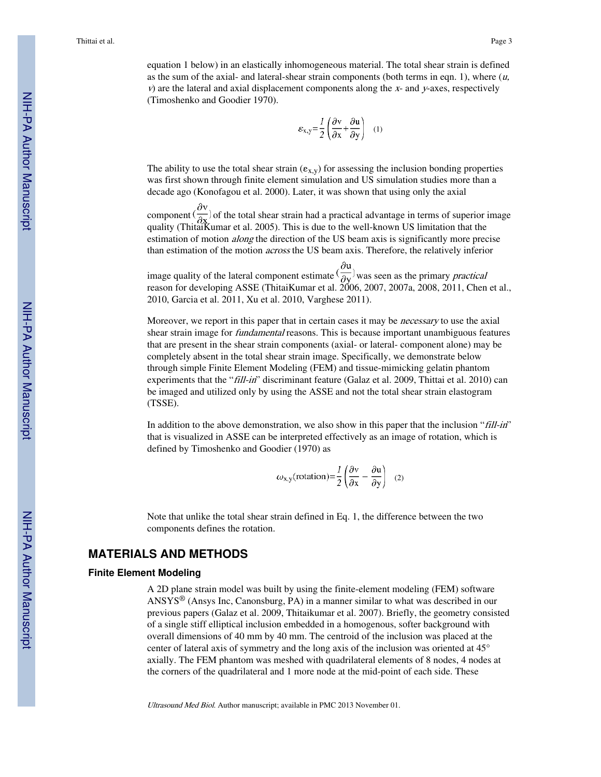equation 1 below) in an elastically inhomogeneous material. The total shear strain is defined as the sum of the axial- and lateral-shear strain components (both terms in eqn. 1), where  $(u,$  $\nu$ ) are the lateral and axial displacement components along the x- and y-axes, respectively (Timoshenko and Goodier 1970).

$$
\varepsilon_{x,y} = \frac{1}{2} \left( \frac{\partial v}{\partial x} + \frac{\partial u}{\partial y} \right) \quad (1)
$$

The ability to use the total shear strain  $(e_{x,y})$  for assessing the inclusion bonding properties was first shown through finite element simulation and US simulation studies more than a decade ago (Konofagou et al. 2000). Later, it was shown that using only the axial

component  $\left(\frac{1}{4x}\right)$  of the total shear strain had a practical advantage in terms of superior image quality (ThitaiKumar et al. 2005). This is due to the well-known US limitation that the estimation of motion along the direction of the US beam axis is significantly more precise than estimation of the motion across the US beam axis. Therefore, the relatively inferior

image quality of the lateral component estimate  $\sqrt{\partial y}$  was seen as the primary *practical* reason for developing ASSE (ThitaiKumar et al. 2006, 2007, 2007a, 2008, 2011, Chen et al., 2010, Garcia et al. 2011, Xu et al. 2010, Varghese 2011).

Moreover, we report in this paper that in certain cases it may be *necessary* to use the axial shear strain image for *fundamental* reasons. This is because important unambiguous features that are present in the shear strain components (axial- or lateral- component alone) may be completely absent in the total shear strain image. Specifically, we demonstrate below through simple Finite Element Modeling (FEM) and tissue-mimicking gelatin phantom experiments that the "*fill-in*" discriminant feature (Galaz et al. 2009, Thittai et al. 2010) can be imaged and utilized only by using the ASSE and not the total shear strain elastogram (TSSE).

In addition to the above demonstration, we also show in this paper that the inclusion "fill-in" that is visualized in ASSE can be interpreted effectively as an image of rotation, which is defined by Timoshenko and Goodier (1970) as

$$
\omega_{x,y}(\text{rotation}) = \frac{1}{2} \left( \frac{\partial v}{\partial x} - \frac{\partial u}{\partial y} \right) \tag{2}
$$

Note that unlike the total shear strain defined in Eq. 1, the difference between the two components defines the rotation.

## **MATERIALS AND METHODS**

#### **Finite Element Modeling**

A 2D plane strain model was built by using the finite-element modeling (FEM) software ANSYS<sup>®</sup> (Ansys Inc, Canonsburg, PA) in a manner similar to what was described in our previous papers (Galaz et al. 2009, Thitaikumar et al. 2007). Briefly, the geometry consisted of a single stiff elliptical inclusion embedded in a homogenous, softer background with overall dimensions of 40 mm by 40 mm. The centroid of the inclusion was placed at the center of lateral axis of symmetry and the long axis of the inclusion was oriented at 45° axially. The FEM phantom was meshed with quadrilateral elements of 8 nodes, 4 nodes at the corners of the quadrilateral and 1 more node at the mid-point of each side. These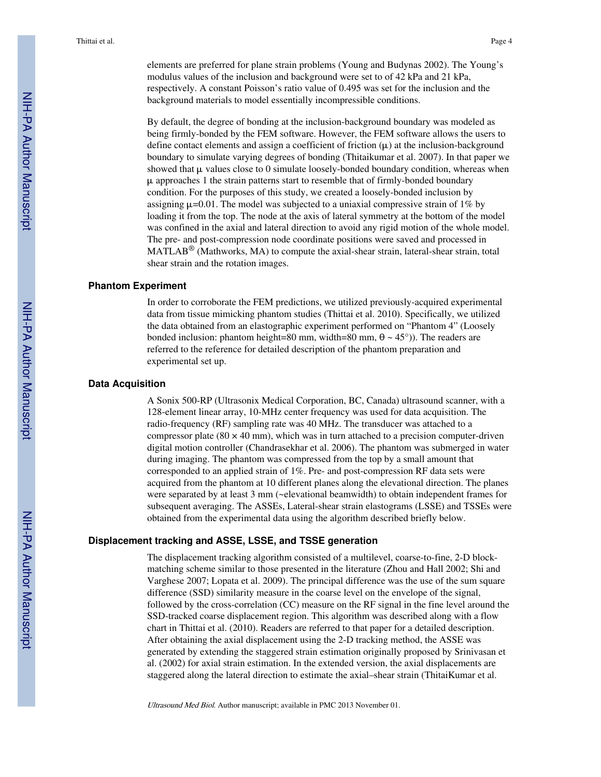elements are preferred for plane strain problems (Young and Budynas 2002). The Young's modulus values of the inclusion and background were set to of 42 kPa and 21 kPa, respectively. A constant Poisson's ratio value of 0.495 was set for the inclusion and the background materials to model essentially incompressible conditions.

By default, the degree of bonding at the inclusion-background boundary was modeled as being firmly-bonded by the FEM software. However, the FEM software allows the users to define contact elements and assign a coefficient of friction  $(\mu)$  at the inclusion-background boundary to simulate varying degrees of bonding (Thitaikumar et al. 2007). In that paper we showed that  $\mu$  values close to 0 simulate loosely-bonded boundary condition, whereas when  $\mu$  approaches 1 the strain patterns start to resemble that of firmly-bonded boundary condition. For the purposes of this study, we created a loosely-bonded inclusion by assigning  $\mu$ =0.01. The model was subjected to a uniaxial compressive strain of 1% by loading it from the top. The node at the axis of lateral symmetry at the bottom of the model was confined in the axial and lateral direction to avoid any rigid motion of the whole model. The pre- and post-compression node coordinate positions were saved and processed in  $MATLAB^{\circledR}$  (Mathworks, MA) to compute the axial-shear strain, lateral-shear strain, total shear strain and the rotation images.

#### **Phantom Experiment**

In order to corroborate the FEM predictions, we utilized previously-acquired experimental data from tissue mimicking phantom studies (Thittai et al. 2010). Specifically, we utilized the data obtained from an elastographic experiment performed on "Phantom 4" (Loosely bonded inclusion: phantom height=80 mm, width=80 mm,  $\theta \sim 45^{\circ}$ ). The readers are referred to the reference for detailed description of the phantom preparation and experimental set up.

#### **Data Acquisition**

A Sonix 500-RP (Ultrasonix Medical Corporation, BC, Canada) ultrasound scanner, with a 128-element linear array, 10-MHz center frequency was used for data acquisition. The radio-frequency (RF) sampling rate was 40 MHz. The transducer was attached to a compressor plate  $(80 \times 40 \text{ mm})$ , which was in turn attached to a precision computer-driven digital motion controller (Chandrasekhar et al. 2006). The phantom was submerged in water during imaging. The phantom was compressed from the top by a small amount that corresponded to an applied strain of 1%. Pre- and post-compression RF data sets were acquired from the phantom at 10 different planes along the elevational direction. The planes were separated by at least 3 mm (~elevational beamwidth) to obtain independent frames for subsequent averaging. The ASSEs, Lateral-shear strain elastograms (LSSE) and TSSEs were obtained from the experimental data using the algorithm described briefly below.

#### **Displacement tracking and ASSE, LSSE, and TSSE generation**

The displacement tracking algorithm consisted of a multilevel, coarse-to-fine, 2-D blockmatching scheme similar to those presented in the literature (Zhou and Hall 2002; Shi and Varghese 2007; Lopata et al. 2009). The principal difference was the use of the sum square difference (SSD) similarity measure in the coarse level on the envelope of the signal, followed by the cross-correlation (CC) measure on the RF signal in the fine level around the SSD-tracked coarse displacement region. This algorithm was described along with a flow chart in Thittai et al. (2010). Readers are referred to that paper for a detailed description. After obtaining the axial displacement using the 2-D tracking method, the ASSE was generated by extending the staggered strain estimation originally proposed by Srinivasan et al. (2002) for axial strain estimation. In the extended version, the axial displacements are staggered along the lateral direction to estimate the axial–shear strain (ThitaiKumar et al.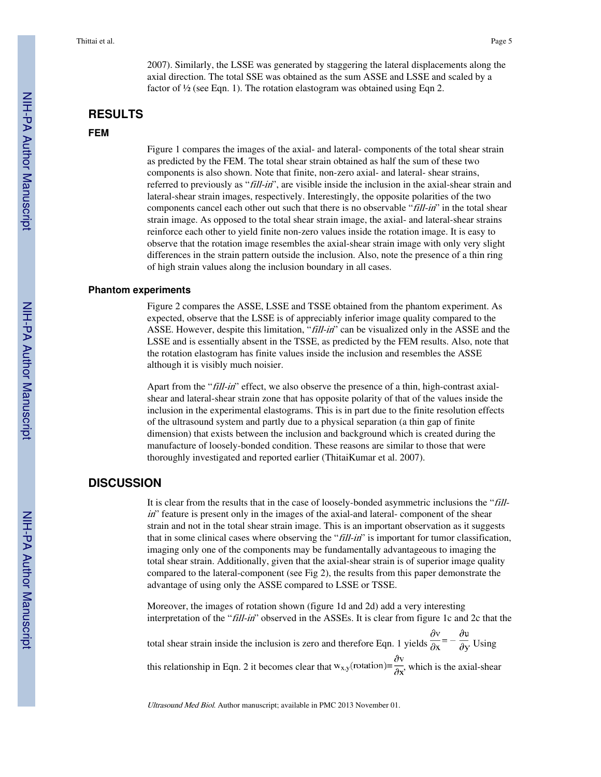2007). Similarly, the LSSE was generated by staggering the lateral displacements along the axial direction. The total SSE was obtained as the sum ASSE and LSSE and scaled by a factor of ½ (see Eqn. 1). The rotation elastogram was obtained using Eqn 2.

## **RESULTS**

#### **FEM**

Figure 1 compares the images of the axial- and lateral- components of the total shear strain as predicted by the FEM. The total shear strain obtained as half the sum of these two components is also shown. Note that finite, non-zero axial- and lateral- shear strains, referred to previously as "fill-in", are visible inside the inclusion in the axial-shear strain and lateral-shear strain images, respectively. Interestingly, the opposite polarities of the two components cancel each other out such that there is no observable "*fill-in*" in the total shear strain image. As opposed to the total shear strain image, the axial- and lateral-shear strains reinforce each other to yield finite non-zero values inside the rotation image. It is easy to observe that the rotation image resembles the axial-shear strain image with only very slight differences in the strain pattern outside the inclusion. Also, note the presence of a thin ring of high strain values along the inclusion boundary in all cases.

#### **Phantom experiments**

Figure 2 compares the ASSE, LSSE and TSSE obtained from the phantom experiment. As expected, observe that the LSSE is of appreciably inferior image quality compared to the ASSE. However, despite this limitation, "fill-in" can be visualized only in the ASSE and the LSSE and is essentially absent in the TSSE, as predicted by the FEM results. Also, note that the rotation elastogram has finite values inside the inclusion and resembles the ASSE although it is visibly much noisier.

Apart from the "fill-in" effect, we also observe the presence of a thin, high-contrast axialshear and lateral-shear strain zone that has opposite polarity of that of the values inside the inclusion in the experimental elastograms. This is in part due to the finite resolution effects of the ultrasound system and partly due to a physical separation (a thin gap of finite dimension) that exists between the inclusion and background which is created during the manufacture of loosely-bonded condition. These reasons are similar to those that were thoroughly investigated and reported earlier (ThitaiKumar et al. 2007).

## **DISCUSSION**

It is clear from the results that in the case of loosely-bonded asymmetric inclusions the "fillin" feature is present only in the images of the axial-and lateral- component of the shear strain and not in the total shear strain image. This is an important observation as it suggests that in some clinical cases where observing the "fill-in" is important for tumor classification, imaging only one of the components may be fundamentally advantageous to imaging the total shear strain. Additionally, given that the axial-shear strain is of superior image quality compared to the lateral-component (see Fig 2), the results from this paper demonstrate the advantage of using only the ASSE compared to LSSE or TSSE.

Moreover, the images of rotation shown (figure 1d and 2d) add a very interesting interpretation of the "fill-in" observed in the ASSEs. It is clear from figure 1c and 2c that the

total shear strain inside the inclusion is zero and therefore Eqn. 1 yields  $\frac{\partial v}{\partial x} = -\frac{\partial u}{\partial y}$ . Using this relationship in Eqn. 2 it becomes clear that  $w_{x,y}$  (rotation)= $\frac{\partial v}{\partial x}$ , which is the axial-shear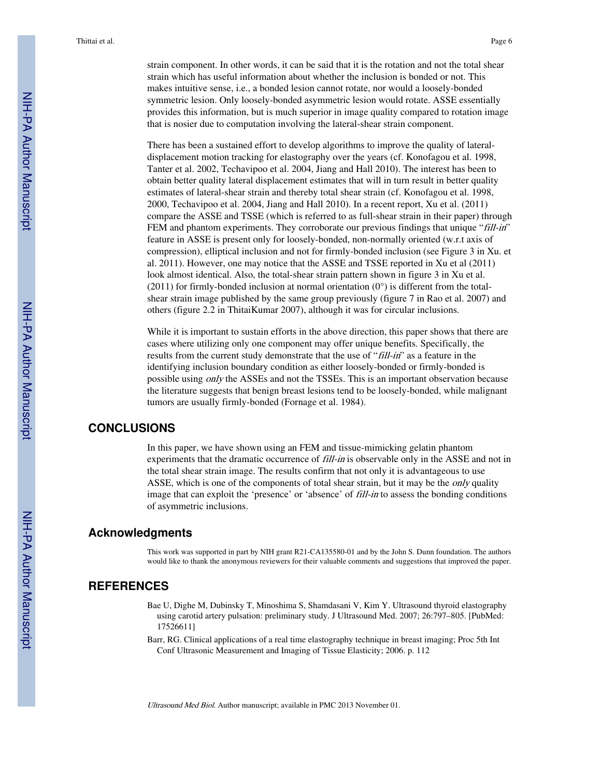strain component. In other words, it can be said that it is the rotation and not the total shear strain which has useful information about whether the inclusion is bonded or not. This makes intuitive sense, i.e., a bonded lesion cannot rotate, nor would a loosely-bonded symmetric lesion. Only loosely-bonded asymmetric lesion would rotate. ASSE essentially provides this information, but is much superior in image quality compared to rotation image that is nosier due to computation involving the lateral-shear strain component.

There has been a sustained effort to develop algorithms to improve the quality of lateraldisplacement motion tracking for elastography over the years (cf. Konofagou et al. 1998, Tanter et al. 2002, Techavipoo et al. 2004, Jiang and Hall 2010). The interest has been to obtain better quality lateral displacement estimates that will in turn result in better quality estimates of lateral-shear strain and thereby total shear strain (cf. Konofagou et al. 1998, 2000, Techavipoo et al. 2004, Jiang and Hall 2010). In a recent report, Xu et al. (2011) compare the ASSE and TSSE (which is referred to as full-shear strain in their paper) through FEM and phantom experiments. They corroborate our previous findings that unique "fill-in" feature in ASSE is present only for loosely-bonded, non-normally oriented (w.r.t axis of compression), elliptical inclusion and not for firmly-bonded inclusion (see Figure 3 in Xu. et al. 2011). However, one may notice that the ASSE and TSSE reported in Xu et al (2011) look almost identical. Also, the total-shear strain pattern shown in figure 3 in Xu et al.  $(2011)$  for firmly-bonded inclusion at normal orientation  $(0^{\circ})$  is different from the totalshear strain image published by the same group previously (figure 7 in Rao et al. 2007) and others (figure 2.2 in ThitaiKumar 2007), although it was for circular inclusions.

While it is important to sustain efforts in the above direction, this paper shows that there are cases where utilizing only one component may offer unique benefits. Specifically, the results from the current study demonstrate that the use of "fill-in" as a feature in the identifying inclusion boundary condition as either loosely-bonded or firmly-bonded is possible using only the ASSEs and not the TSSEs. This is an important observation because the literature suggests that benign breast lesions tend to be loosely-bonded, while malignant tumors are usually firmly-bonded (Fornage et al. 1984).

## **CONCLUSIONS**

In this paper, we have shown using an FEM and tissue-mimicking gelatin phantom experiments that the dramatic occurrence of *fill-in* is observable only in the ASSE and not in the total shear strain image. The results confirm that not only it is advantageous to use ASSE, which is one of the components of total shear strain, but it may be the *only* quality image that can exploit the 'presence' or 'absence' of fill-in to assess the bonding conditions of asymmetric inclusions.

#### **Acknowledgments**

This work was supported in part by NIH grant R21-CA135580-01 and by the John S. Dunn foundation. The authors would like to thank the anonymous reviewers for their valuable comments and suggestions that improved the paper.

## **REFERENCES**

- Bae U, Dighe M, Dubinsky T, Minoshima S, Shamdasani V, Kim Y. Ultrasound thyroid elastography using carotid artery pulsation: preliminary study. J Ultrasound Med. 2007; 26:797–805. [PubMed: 17526611]
- Barr, RG. Clinical applications of a real time elastography technique in breast imaging; Proc 5th Int Conf Ultrasonic Measurement and Imaging of Tissue Elasticity; 2006. p. 112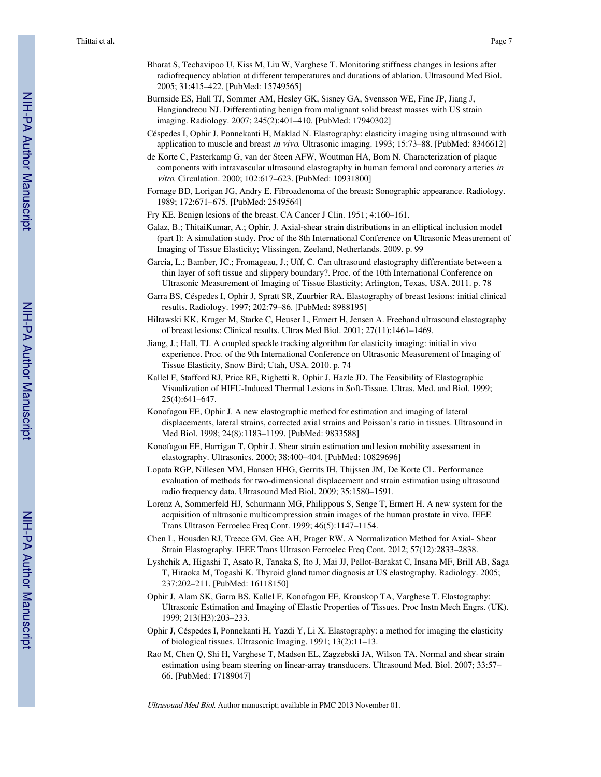- Bharat S, Techavipoo U, Kiss M, Liu W, Varghese T. Monitoring stiffness changes in lesions after radiofrequency ablation at different temperatures and durations of ablation. Ultrasound Med Biol. 2005; 31:415–422. [PubMed: 15749565]
- Burnside ES, Hall TJ, Sommer AM, Hesley GK, Sisney GA, Svensson WE, Fine JP, Jiang J, Hangiandreou NJ. Differentiating benign from malignant solid breast masses with US strain imaging. Radiology. 2007; 245(2):401–410. [PubMed: 17940302]
- Céspedes I, Ophir J, Ponnekanti H, Maklad N. Elastography: elasticity imaging using ultrasound with application to muscle and breast in vivo. Ultrasonic imaging. 1993; 15:73-88. [PubMed: 8346612]
- de Korte C, Pasterkamp G, van der Steen AFW, Woutman HA, Bom N. Characterization of plaque components with intravascular ultrasound elastography in human femoral and coronary arteries in vitro. Circulation. 2000; 102:617–623. [PubMed: 10931800]
- Fornage BD, Lorigan JG, Andry E. Fibroadenoma of the breast: Sonographic appearance. Radiology. 1989; 172:671–675. [PubMed: 2549564]
- Fry KE. Benign lesions of the breast. CA Cancer J Clin. 1951; 4:160–161.
- Galaz, B.; ThitaiKumar, A.; Ophir, J. Axial-shear strain distributions in an elliptical inclusion model (part I): A simulation study. Proc of the 8th International Conference on Ultrasonic Measurement of Imaging of Tissue Elasticity; Vlissingen, Zeeland, Netherlands. 2009. p. 99
- Garcia, L.; Bamber, JC.; Fromageau, J.; Uff, C. Can ultrasound elastography differentiate between a thin layer of soft tissue and slippery boundary?. Proc. of the 10th International Conference on Ultrasonic Measurement of Imaging of Tissue Elasticity; Arlington, Texas, USA. 2011. p. 78
- Garra BS, Céspedes I, Ophir J, Spratt SR, Zuurbier RA. Elastography of breast lesions: initial clinical results. Radiology. 1997; 202:79–86. [PubMed: 8988195]
- Hiltawski KK, Kruger M, Starke C, Heuser L, Ermert H, Jensen A. Freehand ultrasound elastography of breast lesions: Clinical results. Ultras Med Biol. 2001; 27(11):1461–1469.
- Jiang, J.; Hall, TJ. A coupled speckle tracking algorithm for elasticity imaging: initial in vivo experience. Proc. of the 9th International Conference on Ultrasonic Measurement of Imaging of Tissue Elasticity, Snow Bird; Utah, USA. 2010. p. 74
- Kallel F, Stafford RJ, Price RE, Righetti R, Ophir J, Hazle JD. The Feasibility of Elastographic Visualization of HIFU-Induced Thermal Lesions in Soft-Tissue. Ultras. Med. and Biol. 1999; 25(4):641–647.
- Konofagou EE, Ophir J. A new elastographic method for estimation and imaging of lateral displacements, lateral strains, corrected axial strains and Poisson's ratio in tissues. Ultrasound in Med Biol. 1998; 24(8):1183–1199. [PubMed: 9833588]
- Konofagou EE, Harrigan T, Ophir J. Shear strain estimation and lesion mobility assessment in elastography. Ultrasonics. 2000; 38:400–404. [PubMed: 10829696]
- Lopata RGP, Nillesen MM, Hansen HHG, Gerrits IH, Thijssen JM, De Korte CL. Performance evaluation of methods for two-dimensional displacement and strain estimation using ultrasound radio frequency data. Ultrasound Med Biol. 2009; 35:1580–1591.
- Lorenz A, Sommerfeld HJ, Schurmann MG, Philippous S, Senge T, Ermert H. A new system for the acquisition of ultrasonic multicompression strain images of the human prostate in vivo. IEEE Trans Ultrason Ferroelec Freq Cont. 1999; 46(5):1147–1154.
- Chen L, Housden RJ, Treece GM, Gee AH, Prager RW. A Normalization Method for Axial- Shear Strain Elastography. IEEE Trans Ultrason Ferroelec Freq Cont. 2012; 57(12):2833–2838.
- Lyshchik A, Higashi T, Asato R, Tanaka S, Ito J, Mai JJ, Pellot-Barakat C, Insana MF, Brill AB, Saga T, Hiraoka M, Togashi K. Thyroid gland tumor diagnosis at US elastography. Radiology. 2005; 237:202–211. [PubMed: 16118150]
- Ophir J, Alam SK, Garra BS, Kallel F, Konofagou EE, Krouskop TA, Varghese T. Elastography: Ultrasonic Estimation and Imaging of Elastic Properties of Tissues. Proc Instn Mech Engrs. (UK). 1999; 213(H3):203–233.
- Ophir J, Céspedes I, Ponnekanti H, Yazdi Y, Li X. Elastography: a method for imaging the elasticity of biological tissues. Ultrasonic Imaging. 1991; 13(2):11–13.
- Rao M, Chen Q, Shi H, Varghese T, Madsen EL, Zagzebski JA, Wilson TA. Normal and shear strain estimation using beam steering on linear-array transducers. Ultrasound Med. Biol. 2007; 33:57– 66. [PubMed: 17189047]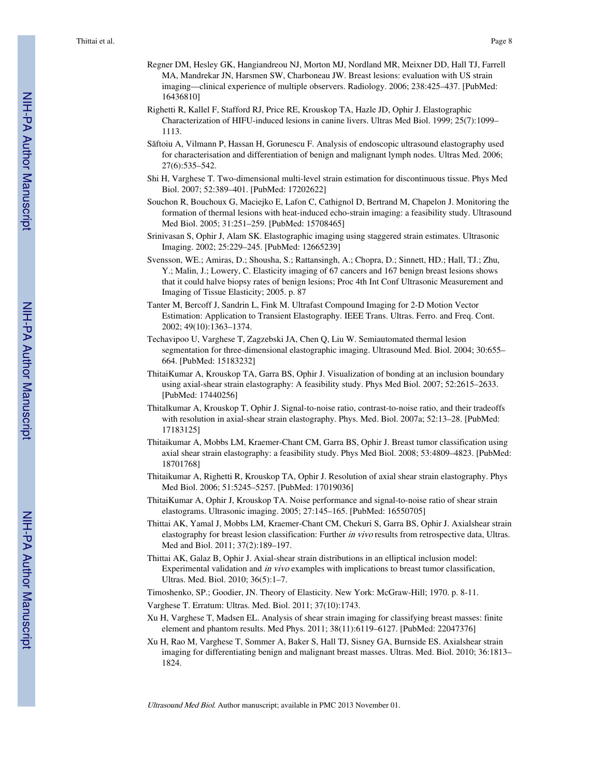- Regner DM, Hesley GK, Hangiandreou NJ, Morton MJ, Nordland MR, Meixner DD, Hall TJ, Farrell MA, Mandrekar JN, Harsmen SW, Charboneau JW. Breast lesions: evaluation with US strain imaging—clinical experience of multiple observers. Radiology. 2006; 238:425–437. [PubMed: 16436810]
- Righetti R, Kallel F, Stafford RJ, Price RE, Krouskop TA, Hazle JD, Ophir J. Elastographic Characterization of HIFU-induced lesions in canine livers. Ultras Med Biol. 1999; 25(7):1099– 1113.
- Săftoiu A, Vilmann P, Hassan H, Gorunescu F. Analysis of endoscopic ultrasound elastography used for characterisation and differentiation of benign and malignant lymph nodes. Ultras Med. 2006; 27(6):535–542.
- Shi H, Varghese T. Two-dimensional multi-level strain estimation for discontinuous tissue. Phys Med Biol. 2007; 52:389–401. [PubMed: 17202622]
- Souchon R, Bouchoux G, Maciejko E, Lafon C, Cathignol D, Bertrand M, Chapelon J. Monitoring the formation of thermal lesions with heat-induced echo-strain imaging: a feasibility study. Ultrasound Med Biol. 2005; 31:251–259. [PubMed: 15708465]
- Srinivasan S, Ophir J, Alam SK. Elastographic imaging using staggered strain estimates. Ultrasonic Imaging. 2002; 25:229–245. [PubMed: 12665239]
- Svensson, WE.; Amiras, D.; Shousha, S.; Rattansingh, A.; Chopra, D.; Sinnett, HD.; Hall, TJ.; Zhu, Y.; Malin, J.; Lowery, C. Elasticity imaging of 67 cancers and 167 benign breast lesions shows that it could halve biopsy rates of benign lesions; Proc 4th Int Conf Ultrasonic Measurement and Imaging of Tissue Elasticity; 2005. p. 87
- Tanter M, Bercoff J, Sandrin L, Fink M. Ultrafast Compound Imaging for 2-D Motion Vector Estimation: Application to Transient Elastography. IEEE Trans. Ultras. Ferro. and Freq. Cont. 2002; 49(10):1363–1374.
- Techavipoo U, Varghese T, Zagzebski JA, Chen Q, Liu W. Semiautomated thermal lesion segmentation for three-dimensional elastographic imaging. Ultrasound Med. Biol. 2004; 30:655– 664. [PubMed: 15183232]
- ThitaiKumar A, Krouskop TA, Garra BS, Ophir J. Visualization of bonding at an inclusion boundary using axial-shear strain elastography: A feasibility study. Phys Med Biol. 2007; 52:2615–2633. [PubMed: 17440256]
- Thitalkumar A, Krouskop T, Ophir J. Signal-to-noise ratio, contrast-to-noise ratio, and their tradeoffs with resolution in axial-shear strain elastography. Phys. Med. Biol. 2007a; 52:13–28. [PubMed: 17183125]
- Thitaikumar A, Mobbs LM, Kraemer-Chant CM, Garra BS, Ophir J. Breast tumor classification using axial shear strain elastography: a feasibility study. Phys Med Biol. 2008; 53:4809–4823. [PubMed: 18701768]
- Thitaikumar A, Righetti R, Krouskop TA, Ophir J. Resolution of axial shear strain elastography. Phys Med Biol. 2006; 51:5245–5257. [PubMed: 17019036]
- ThitaiKumar A, Ophir J, Krouskop TA. Noise performance and signal-to-noise ratio of shear strain elastograms. Ultrasonic imaging. 2005; 27:145–165. [PubMed: 16550705]
- Thittai AK, Yamal J, Mobbs LM, Kraemer-Chant CM, Chekuri S, Garra BS, Ophir J. Axialshear strain elastography for breast lesion classification: Further in vivo results from retrospective data, Ultras. Med and Biol. 2011; 37(2):189–197.
- Thittai AK, Galaz B, Ophir J. Axial-shear strain distributions in an elliptical inclusion model: Experimental validation and *in vivo* examples with implications to breast tumor classification, Ultras. Med. Biol. 2010; 36(5):1–7.
- Timoshenko, SP.; Goodier, JN. Theory of Elasticity. New York: McGraw-Hill; 1970. p. 8-11.
- Varghese T. Erratum: Ultras. Med. Biol. 2011; 37(10):1743.
- Xu H, Varghese T, Madsen EL. Analysis of shear strain imaging for classifying breast masses: finite element and phantom results. Med Phys. 2011; 38(11):6119–6127. [PubMed: 22047376]
- Xu H, Rao M, Varghese T, Sommer A, Baker S, Hall TJ, Sisney GA, Burnside ES. Axialshear strain imaging for differentiating benign and malignant breast masses. Ultras. Med. Biol. 2010; 36:1813– 1824.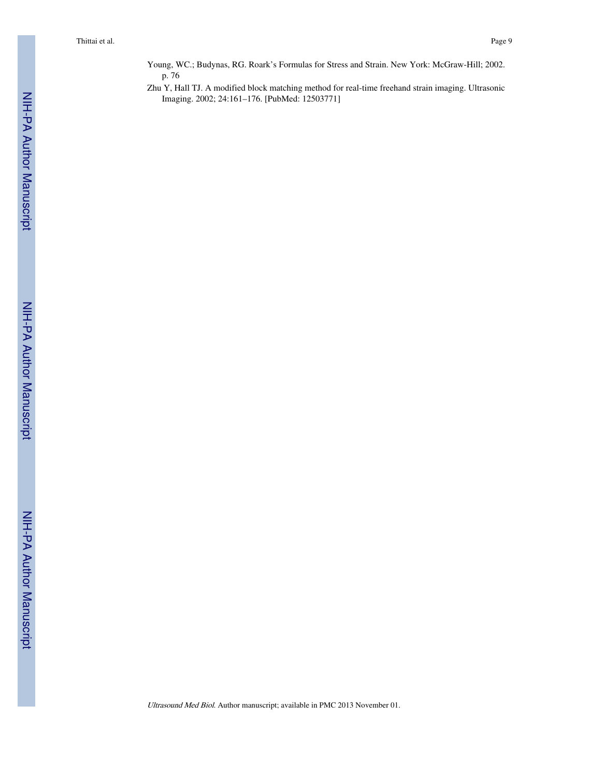Young, WC.; Budynas, RG. Roark's Formulas for Stress and Strain. New York: McGraw-Hill; 2002. p. 76

Zhu Y, Hall TJ. A modified block matching method for real-time freehand strain imaging. Ultrasonic Imaging. 2002; 24:161–176. [PubMed: 12503771]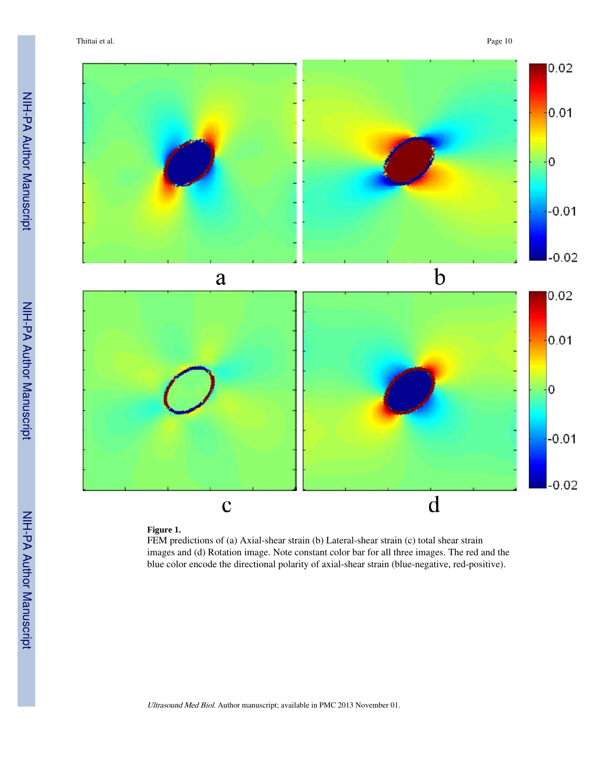Thittai et al. Page 10



#### **Figure 1.**

FEM predictions of (a) Axial-shear strain (b) Lateral-shear strain (c) total shear strain images and (d) Rotation image. Note constant color bar for all three images. The red and the blue color encode the directional polarity of axial-shear strain (blue-negative, red-positive).